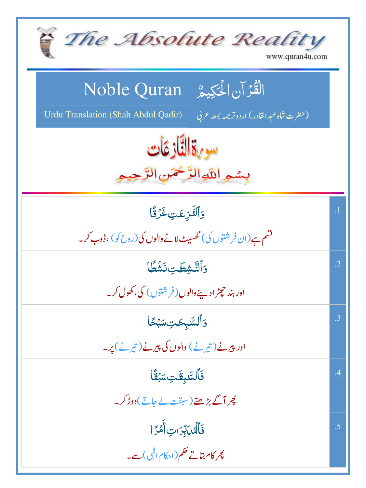| The Absolute Reality<br>www.quran4u.com                                                                                         |                 |
|---------------------------------------------------------------------------------------------------------------------------------|-----------------|
| الْقُرْآنِ الْحَكِيمُ ِ Noble Quran<br><b>Urdu Translation (Shah Abdul Qadir)</b><br>(حضرت شاه عبد القادر) اردوتر جمه بمعه عربي |                 |
| سورة النَّازِ عَات<br>بسمير اللوالرَّحْمَنِ الرَّحِ                                                                             |                 |
| وَٱلتَّزِعَتِ غَرُقًا<br>فشم ہے(ان فر شتوں کی) گھسیٹ لانے والوں کی(روح کو) ،ڈوب کر۔                                             | $\overline{.1}$ |
| وَٱلتَّشِطَتِ نَشَطًا<br>اور بند حچٹرادینے والوں ( فرشتوں ) کی، کھول کر۔                                                        | $\cdot$ .2      |
| وَٱڵۺ <b>ۜ</b> ڹؚػؾؚ <i>ۺڹ</i> ٛػؘٲ<br>اور پیرنے ( تیر نے ) والوں کی پیرنے ( تیر نے ) پر۔                                       | .3              |
| فَٱلسَّبقَتِ سَبُقًا<br>کچر آگے بڑھتے (سبقت لے جاتے) دوڑ کر۔                                                                    | .4              |
| فَأَلَّهُنَّبِّرَاتِ أَمْرًا<br>پھر کام بتاتے حکم(احکام ال <mark>ٰی) سے۔</mark>                                                 | .5              |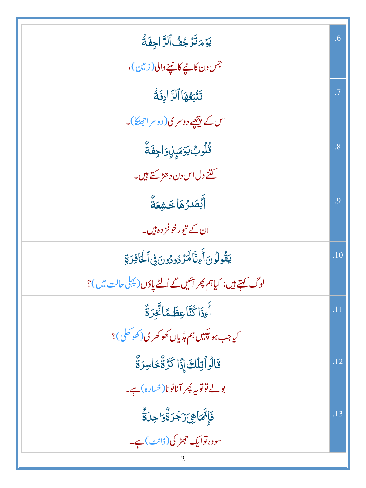| يَوْمَتَرْجُفُ ٱلرَّاجِفَةُ                                | .6        |
|------------------------------------------------------------|-----------|
| جس دن کانیے کانینے والی (زمین)،                            |           |
| تَتَّبَعُهَا ٱلرَّادِفَةُ                                  | $\cdot$ 7 |
| اس کے پیچھے دوسر کی( دوسر احھٹکا)۔                         |           |
| ڟؙٛۅ <sup>ڽ</sup> ڮۊ <sub>ڡ</sub> ٙؠؚڹؚۣۅؘٳڿؚڧؘة۠          | .8        |
| کتنے دل اس دن د ھڑ <sub>کتے</sub> ہیں۔                     |           |
| أَبۡصَٰرُهَاخَشِعَةُ                                       | .9        |
| ان کے تیورخوفز دہ ہیں۔                                     |           |
| يَقُولُونَ أَءِنَّا لَمَرُ دُودُونَ فِى ٱلْحَافِرَةِ       | .10       |
| لوگ کہتے ہیں: کیاہم پھر آئیں گے اُلٹے یاؤں(پہلی حالت میں)؟ |           |
| أَءِذَا كُنَّا عِظَمًا تَّغِرَةً                           | .11       |
| کیاجب ہو <del>جک</del> یں ہم ہڈیاں کھو کھری(کھو کھل)؟      |           |
| قَالُواۡتِلۡكَۚ إِذَّا كَرَّةٌۚخَاسِرَةٌ                   | .12       |
| بولے توتوپہ پھر آناٹوٹا( خسارہ) ہے۔                        |           |
| ڣؘٳ۪ۥٙٚؖمَاۿۣۦؘۯؘجُرَةٌ۠ۏ'جِلَةٌ                           | .13       |
| سووہ توایک حجٹر کی (ڈانٹ) ہے۔                              |           |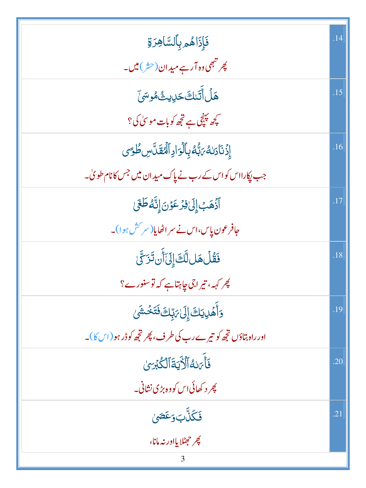| فَإِذَاهُمِ بِٱلسَّاهِرَةِ                                     | .14 |
|----------------------------------------------------------------|-----|
| پھر تبھی وہ آرہے میدان(حش)میں۔<br>*                            |     |
| ۿٙڶؙٲٞؾؘڸڰٙڬڸٳڽؿ۠ۿۅۺؽٙ                                         | .15 |
| کچھ پہنچی ہے تجھ کوبات موسیٰ کی؟                               |     |
| ٳؚۮؘٮ۬ٵۮڶڡؗٛ؆ڹۨ۠ڡؙڔؚٵۘڶٙۊٳۮؚٲڷؙڡٛقؘٮ۠ۜڛڟؙٷ                     | .16 |
| جب پکارااس کواس کے رب نے پاک مید ان میں جس کانام طویٰ۔         |     |
| أَذْهَبَ إِلَىٰ فِزْعَوْنَ إِنَّهُ طَغَى                       | .17 |
| جافرعون پاس،اس نے سراٹھایا(سر <sup>سش ہ</sup> وا)۔             |     |
| فَقُلُ هَل لَّكَ إِلَىٰٓ أَن تَزَكَّىٰ                         | .18 |
| چر کہہ، تیراجی چاہتاہے کہ توسنورے؟                             |     |
| <u>و</u> َأَهۡلِيَكَۚ إِلَىٰ مَبِّكَ فَتَخۡشَىٰ                | .19 |
| اور راہ بتاؤں تجھ کو تیرے رب کی طرف، پھر تجھ کو ڈر ہو (اس کا)۔ |     |
| فَأَىَ لَهُ ٱلْأَيَةَ ٱلْكُبْرَىٰ                              | .20 |
| <u> پھر د کھائی اس کووہ بڑی نشانی۔</u>                         |     |
| <b>فَكَلَّ</b> ابَ وَعَصَىٰ                                    | .21 |
| چر حصلا یااور نه مانا،<br>3                                    |     |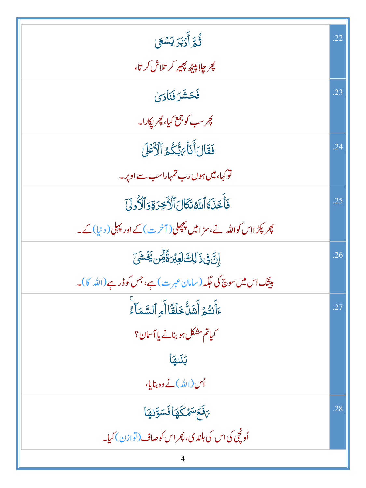| ثُّمَّ أَدۡبَرَ يَسۡعَىٰ                                            | .22 |
|---------------------------------------------------------------------|-----|
| <i>پھر چلاپیٹھ پھیر کر</i> تلاش کر تا،                              |     |
| فَحَشَرَ فَنَأْدَىٰ                                                 | .23 |
| <i>پھر سب کو جمع کیا، پھر پکار</i> ا۔                               |     |
| فَقَالَ أَنَاْ رَبُّكُمُ ٱلْأَعۡلَىٰ                                | .24 |
| تو کہا، میں ہوں رب تمہاراسب سے اوپر۔                                |     |
| فَأَخَذَهُ أَلَّهُ نَكَالَ ٱلْأَخِرَةِ وَٱلْأُولَىٰ                 | .25 |
| کپر پکڑ ااس کواللہ نے،سز امیں پچچلی( آخر ت) کے اور پہلی( د نیا) کے۔ |     |
| ٳۣڹ <mark>ٞڣۣۮٙ</mark> ؙڶڸڰؘڶۼڹ <sub>ؖ</sub> ڗۊٞؖڵؚٙڹ؋ؘؿٚٙۺؘ        | .26 |
| بیٹیک اس میں سوچ کی جگہ (سامان عبر ت) ہے، جس کوڈر ہے (اللہ کا)۔     |     |
| ءَأَنتُمُ أَشَلُّ خَلَقًا أَمِ ٱلسَّمَآءُ                           | .27 |
| کیاتم مشکل ہو بنانے یا آسان؟                                        |     |
| بَنَيْهَا                                                           |     |
| اُس(الله)نے وہ بنایا،                                               |     |
| ىقَعَ سَمْكَهَا فَسَوَّرُهَا                                        | .28 |
| اُونچی کی اس کی بلند ی، پھر اس کوصاف (توازن) کیا۔                   |     |
|                                                                     |     |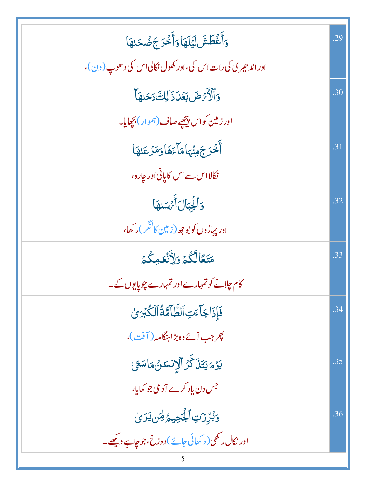| <u>و</u> َأَغۡطَشَ لَيۡلَهَاوَأَخۡرَجَ ضُحَـٰهَا              | .29 |
|---------------------------------------------------------------|-----|
| اور اند حیری کی رات اس کی،اور کھول نکالی اس کی د حوب ( دن )،  |     |
| وَٱلْأَيْهِضَ بَعُدَ ذَٰ لِكَ دَحَلِهَا                       | .30 |
| اور زمین کواس پ <u>یچھ</u> ے صاف ( <sup>ہم</sup> وار) بچھایا۔ |     |
| أَخْرَجَهِنَّهَامَآءَهَاوَمَرْعَلهَا                          | .31 |
| نکالااس سے اس کا پانی اور جارہ،                               |     |
| وَأَلْجِبَالَ أَيْهَدَهَا                                     | .32 |
| اور پہاڑوں کو بوجھ(زمین کا <sup>لن</sup> گر)ر کھا،            |     |
| مَتَعًالَّكُمۡ وَإِذَٰٓنَٰٓ وَجُدَ                            | .33 |
| کام چلانے کو تمہارے اور تمہارے چوپایوں کے۔                    |     |
| فَإِذَا جَأْءَتِ ٱلطَّاَمَّةُ ٱلْكُبْرَىٰ                     | .34 |
| چرجب آئے دہ بڑاہنگامہ ( آفت )،                                |     |
| يَؤْمَ يَتَلَ كَّرُ ٱلْإِنسَنُ مَاسَعَىٰ                      | .35 |
| جس دن یاد کرے آدمی جو کمایا،                                  |     |
| <u>وَبُرِّرْتِ ٱلْجَحِيحُ لِهَن يَرَىٰ</u>                    | .36 |
| اور نکال ر کھی( د کھائی جائے ) دوزخ،جو چاہے دیکھے۔            |     |
|                                                               |     |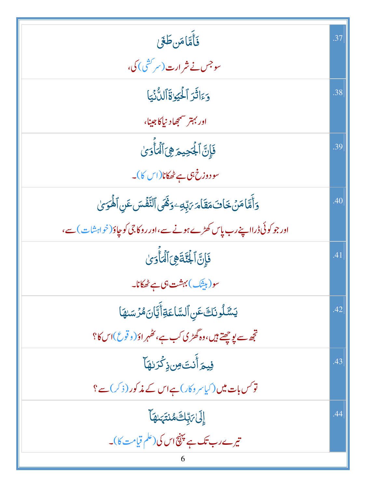| فَأَمَّامَن طَغَى                                                      | .37 |
|------------------------------------------------------------------------|-----|
| سوجس نے شر ارت(سر <sup>کش</sup> ی) کی،                                 |     |
| وَءَاثَرَ ٱلْحَيَوٰةَٱلِدُّنِّيَا                                      | .38 |
| اور بہتر سمجھاد نیاکا جینا،                                            |     |
| فَإِنَّ ٱلْجَحِيمَ هِيَ ٱلْمَأْوَىٰ                                    | .39 |
| سودوزخ،ی ہے ٹھکانا(اس کا)۔                                             |     |
| وَأَمَّا مَنْ خَافَ مَقَامَ يَبِّهِ وَهََى ٱلتَّفَّسَ عَنِ ٱلْمَوَىٰ   | .40 |
| اور جو کوئی ڈرااپنے رب پاس کھڑے ہونے سے،اور روکاجی کو چاؤ(خواہشات) سے، |     |
| فَإِنَّ الْجُنَّةَ هِيَ الْمَأْوَىٰ                                    | .41 |
| سو(بیشک) بہشت ہی ہے ٹھکانا۔                                            |     |
| يَسَّلُونَكَعَنِ ٱلسَّاعَةِأَيَّانَ مُّرۡسَىٰهَا                       | .42 |
| تجھ سے یوچھتے ہیں،وہ گھڑی کب ہے، کھُہر اوٗ( د قوع)اس کا؟               |     |
| فِيمَ <sup>1</sup> أَنتَ <i>ون</i> ذِكْرَ لهَا                         | .43 |
| تو <i>کس بات میں ( کیا سر وکار ) ہے اس کے مذ</i> کور ( ذکر ) سے ؟      |     |
| ٳڸؘ <i>ڶ؆ڹ</i> ۪ۜڮۿڹؾ <sub>ؘؠۜ</sub> ؠۿٵ                               | .44 |
| تیرے رب تک ہے پہنچ اس کی (علم قیامت کا)۔<br>6                          |     |